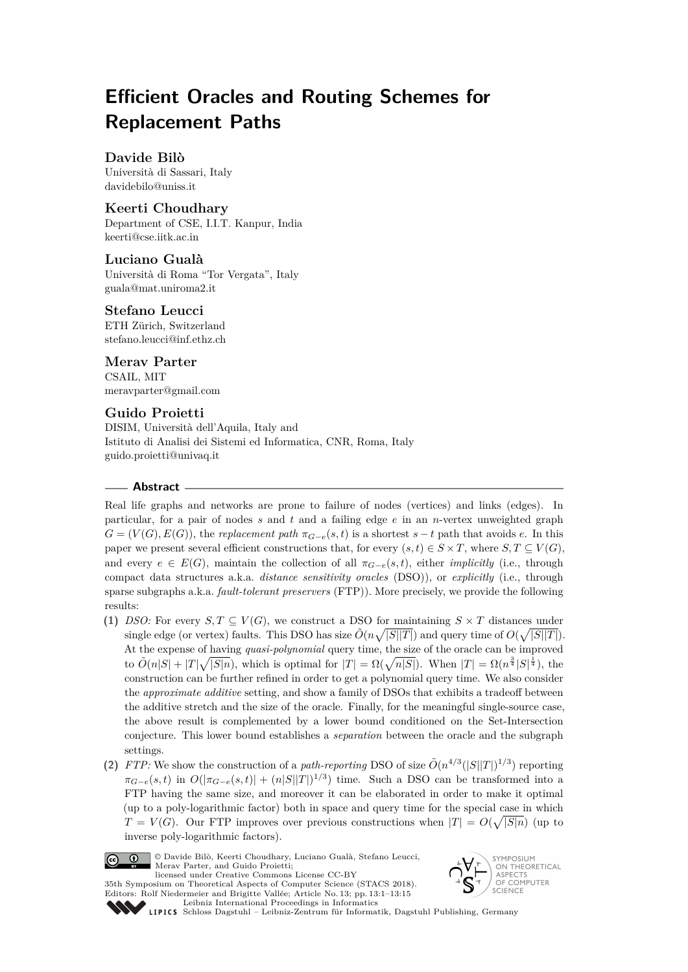# **Efficient Oracles and Routing Schemes for Replacement Paths**

# **Davide Bilò**

Università di Sassari, Italy [davidebilo@uniss.it](mailto:davidebilo@uniss.it)

# **Keerti Choudhary**

Department of CSE, I.I.T. Kanpur, India [keerti@cse.iitk.ac.in](mailto:keerti@cse.iitk.ac.in)

# **Luciano Gualà**

Università di Roma "Tor Vergata", Italy [guala@mat.uniroma2.it](mailto:guala@mat.uniroma2.it)

# **Stefano Leucci**

ETH Zürich, Switzerland [stefano.leucci@inf.ethz.ch](mailto:stefano.leucci@inf.ethz.ch)

**Merav Parter** CSAIL, MIT [meravparter@gmail.com](mailto:meravparter@gmail.com)

# **Guido Proietti**

DISIM, Università dell'Aquila, Italy and Istituto di Analisi dei Sistemi ed Informatica, CNR, Roma, Italy [guido.proietti@univaq.it](mailto:guido.proietti@univaq.it)

## **Abstract**

Real life graphs and networks are prone to failure of nodes (vertices) and links (edges). In particular, for a pair of nodes *s* and *t* and a failing edge *e* in an *n*-vertex unweighted graph  $G = (V(G), E(G))$ , the *replacement path*  $\pi_{G-e}(s,t)$  is a shortest  $s-t$  path that avoids *e*. In this paper we present several efficient constructions that, for every  $(s, t) \in S \times T$ , where  $S, T \subseteq V(G)$ , and every  $e \in E(G)$ , maintain the collection of all  $\pi_{G-e}(s,t)$ , either *implicitly* (i.e., through compact data structures a.k.a. *distance sensitivity oracles* (DSO)), or *explicitly* (i.e., through sparse subgraphs a.k.a. *fault-tolerant preservers* (FTP)). More precisely, we provide the following results:

- **(1)** *DSO:* For every  $S, T \subseteq V(G)$ , we construct a DSO for maintaining  $S \times T$  distances under single edge (or vertex) faults. This DSO has size  $\tilde{O}(n\sqrt{|S||T|})$  and query time of  $O(\sqrt{|S||T|})$ . At the expense of having *quasi-polynomial* query time, the size of the oracle can be improved to  $\tilde{O}(n|S| + |T|\sqrt{|S|n})$ , which is optimal for  $|T| = \Omega(\sqrt{n|S|})$ . When  $|T| = \Omega(n^{\frac{3}{4}}|S|^{\frac{1}{4}})$ , the construction can be further refined in order to get a polynomial query time. We also consider the *approximate additive* setting, and show a family of DSOs that exhibits a tradeoff between the additive stretch and the size of the oracle. Finally, for the meaningful single-source case, the above result is complemented by a lower bound conditioned on the Set-Intersection conjecture. This lower bound establishes a *separation* between the oracle and the subgraph settings.
- (2) *FTP:* We show the construction of a *path-reporting* DSO of size  $\tilde{O}(n^{4/3}(|S||T|)^{1/3})$  reporting  $\pi_{G-e}(s,t)$  in  $O(|\pi_{G-e}(s,t)| + (n|S||T|)^{1/3})$  time. Such a DSO can be transformed into a FTP having the same size, and moreover it can be elaborated in order to make it optimal (up to a poly-logarithmic factor) both in space and query time for the special case in which  $T = V(G)$ . Our FTP improves over previous constructions when  $|T| = O(\sqrt{|S|n})$  (up to inverse poly-logarithmic factors).



© Davide Bilò, Keerti Choudhary, Luciano Gualà, Stefano Leucci, Merav Parter, and Guido Proietti; licensed under Creative Commons License CC-BY



35th Symposium on Theoretical Aspects of Computer Science (STACS 2018). Editors: Rolf Niedermeier and Brigitte Vallée; Article No. 13; pp. 13:1–13[:15](#page-14-0) [Leibniz International Proceedings in Informatics](http://www.dagstuhl.de/lipics/)

[Schloss Dagstuhl – Leibniz-Zentrum für Informatik, Dagstuhl Publishing, Germany](http://www.dagstuhl.de)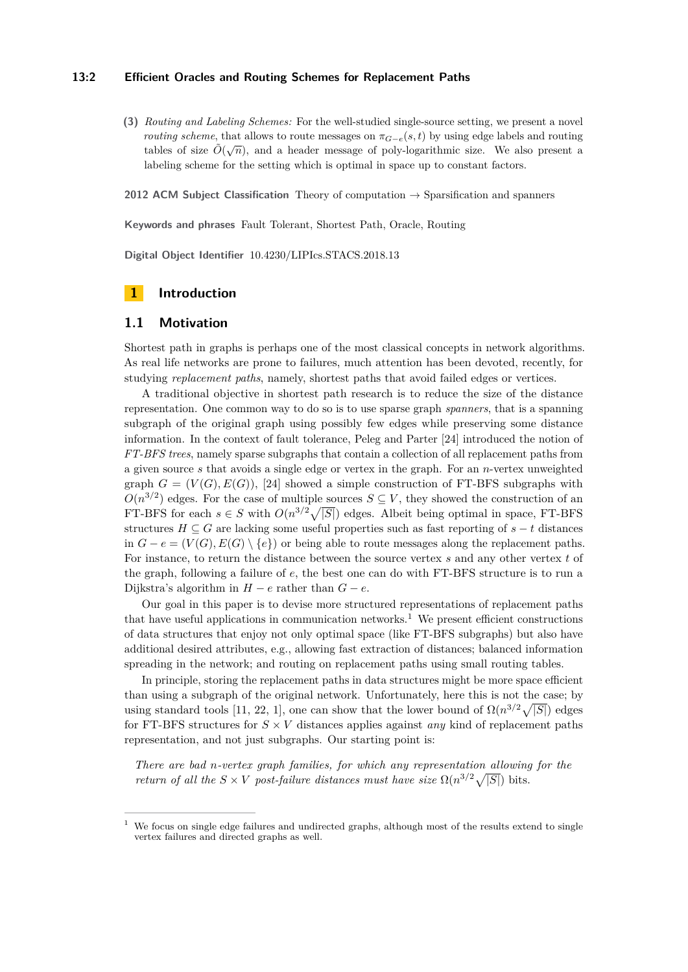#### **13:2 Efficient Oracles and Routing Schemes for Replacement Paths**

**(3)** *Routing and Labeling Schemes:* For the well-studied single-source setting, we present a novel *routing scheme*, that allows to route messages on  $\pi_{G-e}(s,t)$  by using edge labels and routing tables of size  $\tilde{O}(\sqrt{n})$ , and a header messages of poly-logarithmic size. We also present a labeling scheme for the setting which is optimal in space up to constant factors.

**2012 ACM Subject Classification** Theory of computation → Sparsification and spanners

**Keywords and phrases** Fault Tolerant, Shortest Path, Oracle, Routing

**Digital Object Identifier** [10.4230/LIPIcs.STACS.2018.13](http://dx.doi.org/10.4230/LIPIcs.STACS.2018.13)

## **1 Introduction**

#### **1.1 Motivation**

Shortest path in graphs is perhaps one of the most classical concepts in network algorithms. As real life networks are prone to failures, much attention has been devoted, recently, for studying *replacement paths*, namely, shortest paths that avoid failed edges or vertices.

A traditional objective in shortest path research is to reduce the size of the distance representation. One common way to do so is to use sparse graph *spanners*, that is a spanning subgraph of the original graph using possibly few edges while preserving some distance information. In the context of fault tolerance, Peleg and Parter [\[24\]](#page-13-0) introduced the notion of *FT-BFS trees*, namely sparse subgraphs that contain a collection of all replacement paths from a given source *s* that avoids a single edge or vertex in the graph. For an *n*-vertex unweighted graph  $G = (V(G), E(G))$ , [\[24\]](#page-13-0) showed a simple construction of FT-BFS subgraphs with  $O(n^{3/2})$  edges. For the case of multiple sources  $S \subseteq V$ , they showed the construction of an FT-BFS for each  $s \in S$  with  $O(n^{3/2}\sqrt{|S|})$  edges. Albeit being optimal in space, FT-BFS structures  $H \subseteq G$  are lacking some useful properties such as fast reporting of  $s - t$  distances in  $G - e = (V(G), E(G) \setminus \{e\})$  or being able to route messages along the replacement paths. For instance, to return the distance between the source vertex *s* and any other vertex *t* of the graph, following a failure of *e*, the best one can do with FT-BFS structure is to run a Dijkstra's algorithm in  $H - e$  rather than  $G - e$ .

Our goal in this paper is to devise more structured representations of replacement paths that have useful applications in communication networks.<sup>[1](#page-1-0)</sup> We present efficient constructions of data structures that enjoy not only optimal space (like FT-BFS subgraphs) but also have additional desired attributes, e.g., allowing fast extraction of distances; balanced information spreading in the network; and routing on replacement paths using small routing tables.

In principle, storing the replacement paths in data structures might be more space efficient than using a subgraph of the original network. Unfortunately, here this is not the case; by using standard tools [\[11,](#page-13-1) [22,](#page-13-2) [1\]](#page-12-0), one can show that the lower bound of  $\Omega(n^{3/2}\sqrt{|S|})$  edges for FT-BFS structures for  $S \times V$  distances applies against *any* kind of replacement paths representation, and not just subgraphs. Our starting point is:

*There are bad n-vertex graph families, for which any representation allowing for the return of all the*  $S \times V$  *post-failure distances must have size*  $\Omega(n^{3/2}\sqrt{|S|})$  bits.

<span id="page-1-0"></span>We focus on single edge failures and undirected graphs, although most of the results extend to single vertex failures and directed graphs as well.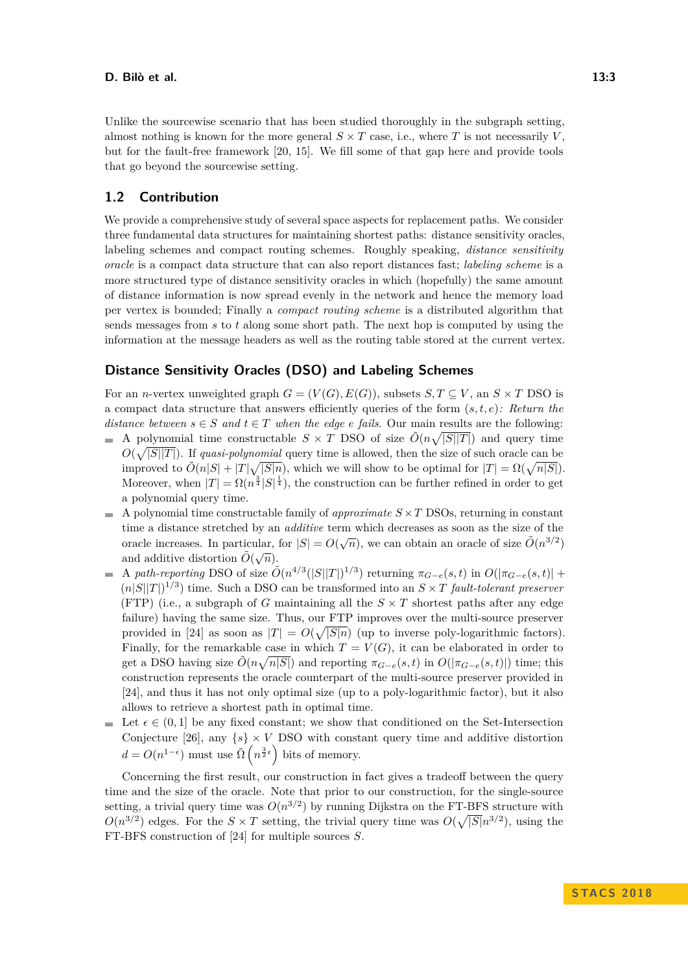Unlike the sourcewise scenario that has been studied thoroughly in the subgraph setting, almost nothing is known for the more general  $S \times T$  case, i.e., where *T* is not necessarily *V*. but for the fault-free framework [\[20,](#page-13-3) [15\]](#page-13-4). We fill some of that gap here and provide tools that go beyond the sourcewise setting.

## **1.2 Contribution**

We provide a comprehensive study of several space aspects for replacement paths. We consider three fundamental data structures for maintaining shortest paths: distance sensitivity oracles, labeling schemes and compact routing schemes. Roughly speaking, *distance sensitivity oracle* is a compact data structure that can also report distances fast; *labeling scheme* is a more structured type of distance sensitivity oracles in which (hopefully) the same amount of distance information is now spread evenly in the network and hence the memory load per vertex is bounded; Finally a *compact routing scheme* is a distributed algorithm that sends messages from *s* to *t* along some short path. The next hop is computed by using the information at the message headers as well as the routing table stored at the current vertex.

## **Distance Sensitivity Oracles (DSO) and Labeling Schemes**

For an *n*-vertex unweighted graph  $G = (V(G), E(G))$ , subsets  $S, T \subseteq V$ , an  $S \times T$  DSO is a compact data structure that answers efficiently queries of the form (*s, t, e*)*: Return the distance between*  $s \in S$  *and*  $t \in T$  *when the edge e fails.* Our main results are the following:

- A polynomial time constructable  $S \times T$  DSO of size  $\tilde{O}(n\sqrt{|S||T|})$  and query time  $O(\sqrt{|S||T|})$ . If *quasi-polynomial* query time is allowed, then the size of such oracle can be improved to  $\tilde{O}(n|S| + |T|\sqrt{|S|n})$ , which we will show to be optimal for  $|T| = \Omega(\sqrt{n|S|})$ . Moreover, when  $|T| = \Omega(n^{\frac{3}{4}} |S|^{\frac{1}{4}})$ , the construction can be further refined in order to get a polynomial query time.
- $\blacksquare$  A polynomial time constructable family of *approximate*  $S \times T$  DSOs, returning in constant time a distance stretched by an *additive* term which decreases as soon as the size of the oracle increases. In particular, for  $|S| = O(\sqrt{n})$ , we can obtain an oracle of size  $\tilde{O}(n^{3/2})$ and additive distortion  $\tilde{O}(\sqrt{n})$ .
- A path-reporting DSO of size  $\tilde{O}(n^{4/3}(|S||T|)^{1/3})$  returning  $\pi_{G-e}(s,t)$  in  $O(|\pi_{G-e}(s,t)| +$  $(n|S||T|)^{1/3}$  time. Such a DSO can be transformed into an  $S \times T$  *fault-tolerant preserver* (FTP) (i.e., a subgraph of *G* maintaining all the  $S \times T$  shortest paths after any edge failure) having the same size. Thus, our FTP improves over the multi-source preserver provided in [\[24\]](#page-13-0) as soon as  $|T| = O(\sqrt{|S|n})$  (up to inverse poly-logarithmic factors). Finally, for the remarkable case in which  $T = V(G)$ , it can be elaborated in order to get a DSO having size  $\tilde{O}(n\sqrt{n|S|})$  and reporting  $\pi_{G-e}(s,t)$  in  $O(|\pi_{G-e}(s,t)|)$  time; this construction represents the oracle counterpart of the multi-source preserver provided in [\[24\]](#page-13-0), and thus it has not only optimal size (up to a poly-logarithmic factor), but it also allows to retrieve a shortest path in optimal time.
- $\overline{\phantom{a}}$ Let  $\epsilon \in (0,1]$  be any fixed constant; we show that conditioned on the Set-Intersection Conjecture [\[26\]](#page-13-5), any  $\{s\} \times V$  DSO with constant query time and additive distortion  $d = O(n^{1-\epsilon})$  must use  $\tilde{\Omega}\left(n^{\frac{3}{2}\epsilon}\right)$  bits of memory.

Concerning the first result, our construction in fact gives a tradeoff between the query time and the size of the oracle. Note that prior to our construction, for the single-source setting, a trivial query time was  $O(n^{3/2})$  by running Dijkstra on the FT-BFS structure with  $O(n^{3/2})$  edges. For the  $S \times T$  setting, the trivial query time was  $O(\sqrt{|S|}n^{3/2})$ , using the FT-BFS construction of [\[24\]](#page-13-0) for multiple sources *S*.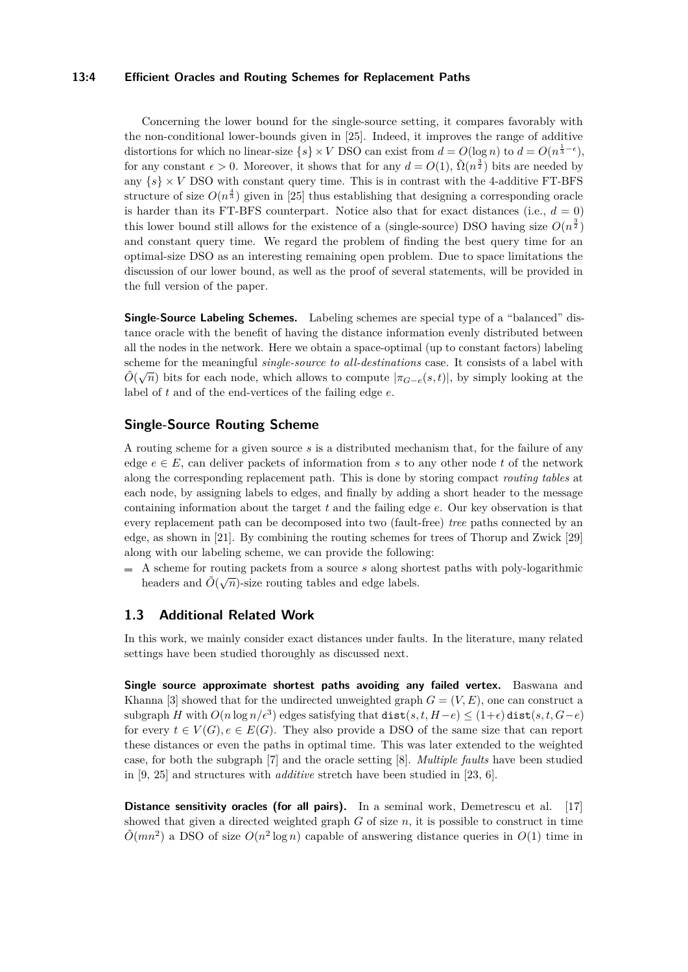#### **13:4 Efficient Oracles and Routing Schemes for Replacement Paths**

Concerning the lower bound for the single-source setting, it compares favorably with the non-conditional lower-bounds given in [\[25\]](#page-13-6). Indeed, it improves the range of additive distortions for which no linear-size  $\{s\} \times V$  DSO can exist from  $d = O(\log n)$  to  $d = O(n^{\frac{1}{3} - \epsilon})$ , for any constant  $\epsilon > 0$ . Moreover, it shows that for any  $d = O(1)$ ,  $\tilde{\Omega}(n^{\frac{3}{2}})$  bits are needed by any  $\{s\} \times V$  DSO with constant query time. This is in contrast with the 4-additive FT-BFS structure of size  $O(n^{\frac{4}{3}})$  given in [\[25\]](#page-13-6) thus establishing that designing a corresponding oracle is harder than its FT-BFS counterpart. Notice also that for exact distances (i.e.,  $d = 0$ ) this lower bound still allows for the existence of a (single-source) DSO having size  $O(n^{\frac{3}{2}})$ and constant query time. We regard the problem of finding the best query time for an optimal-size DSO as an interesting remaining open problem. Due to space limitations the discussion of our lower bound, as well as the proof of several statements, will be provided in the full version of the paper.

**Single-Source Labeling Schemes.** Labeling schemes are special type of a "balanced" distance oracle with the benefit of having the distance information evenly distributed between all the nodes in the network. Here we obtain a space-optimal (up to constant factors) labeling scheme for the meaningful *single-source to all-destinations* case. It consists of a label with  $\tilde{O}(\sqrt{n})$  bits for each node, which allows to compute  $|\pi_{G-e}(s,t)|$ , by simply looking at the label of *t* and of the end-vertices of the failing edge *e*.

## **Single-Source Routing Scheme**

A routing scheme for a given source *s* is a distributed mechanism that, for the failure of any edge  $e \in E$ , can deliver packets of information from s to any other node t of the network along the corresponding replacement path. This is done by storing compact *routing tables* at each node, by assigning labels to edges, and finally by adding a short header to the message containing information about the target *t* and the failing edge *e*. Our key observation is that every replacement path can be decomposed into two (fault-free) *tree* paths connected by an edge, as shown in [\[21\]](#page-13-7). By combining the routing schemes for trees of Thorup and Zwick [\[29\]](#page-14-1) along with our labeling scheme, we can provide the following:

A scheme for routing packets from a source *s* along shortest paths with poly-logarithmic  $\mathbf{r}$ headers and  $\tilde{O}(\sqrt{n})$ -size routing tables and edge labels.

## **1.3 Additional Related Work**

In this work, we mainly consider exact distances under faults. In the literature, many related settings have been studied thoroughly as discussed next.

**Single source approximate shortest paths avoiding any failed vertex.** Baswana and Khanna [\[3\]](#page-12-1) showed that for the undirected unweighted graph  $G = (V, E)$ , one can construct a  $\text{supgraph } H \text{ with } O(n \log n / \epsilon^3) \text{ edges satisfying that } \text{dist}(s, t, H - e) \leq (1 + \epsilon) \text{dist}(s, t, G - e)$ for every  $t \in V(G)$ ,  $e \in E(G)$ . They also provide a DSO of the same size that can report these distances or even the paths in optimal time. This was later extended to the weighted case, for both the subgraph [\[7\]](#page-12-2) and the oracle setting [\[8\]](#page-12-3). *Multiple faults* have been studied in [\[9,](#page-12-4) [25\]](#page-13-6) and structures with *additive* stretch have been studied in [\[23,](#page-13-8) [6\]](#page-12-5).

**Distance sensitivity oracles (for all pairs).** In a seminal work, Demetrescu et al. [\[17\]](#page-13-9) showed that given a directed weighted graph  $G$  of size  $n$ , it is possible to construct in time  $\tilde{O}(mn^2)$  a DSO of size  $O(n^2 \log n)$  capable of answering distance queries in  $O(1)$  time in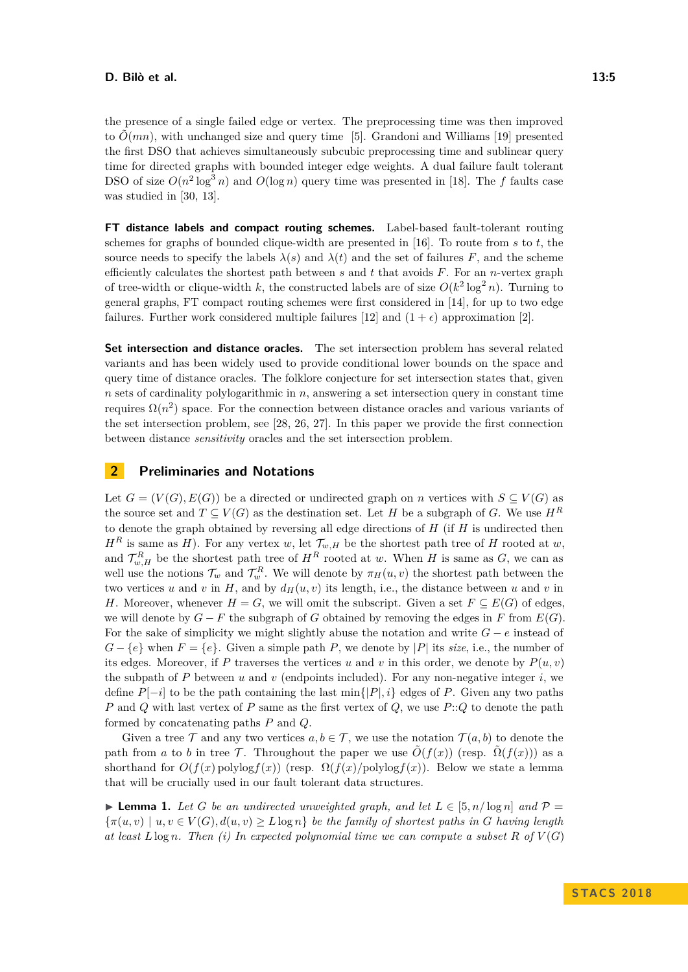the presence of a single failed edge or vertex. The preprocessing time was then improved to  $\tilde{O}(mn)$ , with unchanged size and query time [\[5\]](#page-12-6). Grandoni and Williams [\[19\]](#page-13-10) presented the first DSO that achieves simultaneously subcubic preprocessing time and sublinear query time for directed graphs with bounded integer edge weights. A dual failure fault tolerant DSO of size  $O(n^2 \log^3 n)$  and  $O(\log n)$  query time was presented in [\[18\]](#page-13-11). The *f* faults case was studied in [\[30,](#page-14-2) [13\]](#page-13-12).

**FT distance labels and compact routing schemes.** Label-based fault-tolerant routing schemes for graphs of bounded clique-width are presented in [\[16\]](#page-13-13). To route from *s* to *t*, the source needs to specify the labels  $\lambda(s)$  and  $\lambda(t)$  and the set of failures F, and the scheme efficiently calculates the shortest path between *s* and *t* that avoids *F*. For an *n*-vertex graph of tree-width or clique-width *k*, the constructed labels are of size  $O(k^2 \log^2 n)$ . Turning to general graphs, FT compact routing schemes were first considered in [\[14\]](#page-13-14), for up to two edge failures. Further work considered multiple failures [\[12\]](#page-13-15) and  $(1 + \epsilon)$  approximation [\[2\]](#page-12-7).

**Set intersection and distance oracles.** The set intersection problem has several related variants and has been widely used to provide conditional lower bounds on the space and query time of distance oracles. The folklore conjecture for set intersection states that, given *n* sets of cardinality polylogarithmic in *n*, answering a set intersection query in constant time requires  $\Omega(n^2)$  space. For the connection between distance oracles and various variants of the set intersection problem, see [\[28,](#page-14-3) [26,](#page-13-5) [27\]](#page-13-16). In this paper we provide the first connection between distance *sensitivity* oracles and the set intersection problem.

## **2 Preliminaries and Notations**

Let  $G = (V(G), E(G))$  be a directed or undirected graph on *n* vertices with  $S \subseteq V(G)$  as the source set and  $T \subseteq V(G)$  as the destination set. Let *H* be a subgraph of *G*. We use  $H^R$ to denote the graph obtained by reversing all edge directions of *H* (if *H* is undirected then  $H^R$  is same as *H*). For any vertex *w*, let  $\mathcal{T}_{w,H}$  be the shortest path tree of *H* rooted at *w*, and  $\mathcal{T}_{w,H}^R$  be the shortest path tree of  $H^R$  rooted at *w*. When *H* is same as *G*, we can as well use the notions  $\mathcal{T}_w$  and  $\mathcal{T}_w^R$ . We will denote by  $\pi_H(u, v)$  the shortest path between the two vertices *u* and *v* in *H*, and by  $d<sub>H</sub>(u, v)$  its length, i.e., the distance between *u* and *v* in *H*. Moreover, whenever  $H = G$ , we will omit the subscript. Given a set  $F \subseteq E(G)$  of edges, we will denote by  $G - F$  the subgraph of *G* obtained by removing the edges in *F* from  $E(G)$ . For the sake of simplicity we might slightly abuse the notation and write *G* − *e* instead of  $G - \{e\}$  when  $F = \{e\}$ . Given a simple path *P*, we denote by  $|P|$  its *size*, i.e., the number of its edges. Moreover, if P traverses the vertices  $u$  and  $v$  in this order, we denote by  $P(u, v)$ the subpath of  $P$  between  $u$  and  $v$  (endpoints included). For any non-negative integer  $i$ , we define  $P[-i]$  to be the path containing the last min $\{|P|, i\}$  edges of P. Given any two paths *P* and *Q* with last vertex of *P* same as the first vertex of *Q*, we use *P*::*Q* to denote the path formed by concatenating paths *P* and *Q*.

Given a tree  $\mathcal T$  and any two vertices  $a, b \in \mathcal T$ , we use the notation  $\mathcal T(a, b)$  to denote the path from *a* to *b* in tree T. Throughout the paper we use  $\tilde{O}(f(x))$  (resp.  $\tilde{O}(f(x))$ ) as a shorthand for  $O(f(x)$  polylog $f(x))$  (resp.  $\Omega(f(x)/\text{polylog}f(x))$ ). Below we state a lemma that will be crucially used in our fault tolerant data structures.

<span id="page-4-0"></span>► **Lemma 1.** Let G be an undirected unweighted graph, and let  $L \in [5, n/\log n]$  and  $\mathcal{P} =$  $\{\pi(u, v) \mid u, v \in V(G), d(u, v) \geq L \log n\}$  *be the family of shortest paths in G having length at least*  $L \log n$ *. Then (i) In expected polynomial time we can compute a subset*  $R$  *of*  $V(G)$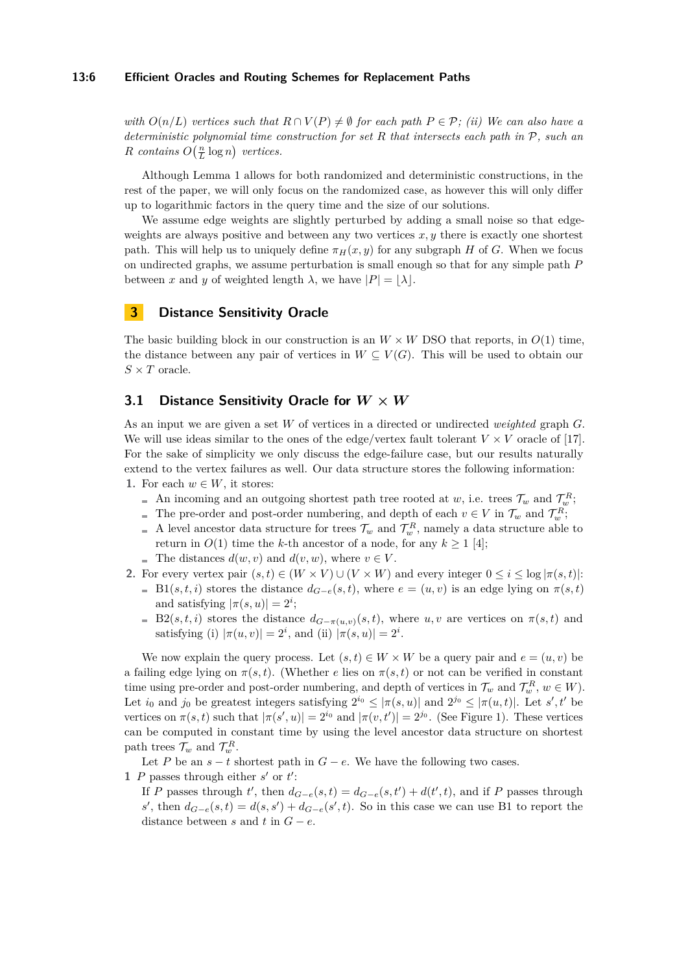#### **13:6 Efficient Oracles and Routing Schemes for Replacement Paths**

*with*  $O(n/L)$  *vertices such that*  $R \cap V(P) \neq \emptyset$  *for each path*  $P \in \mathcal{P}$ *; (ii) We can also have a deterministic polynomial time construction for set R that intersects each path in* P*, such an R contains*  $O(\frac{n}{L} \log n)$  *vertices.* 

Although Lemma [1](#page-4-0) allows for both randomized and deterministic constructions, in the rest of the paper, we will only focus on the randomized case, as however this will only differ up to logarithmic factors in the query time and the size of our solutions.

We assume edge weights are slightly perturbed by adding a small noise so that edgeweights are always positive and between any two vertices  $x, y$  there is exactly one shortest path. This will help us to uniquely define  $\pi_H(x, y)$  for any subgraph *H* of *G*. When we focus on undirected graphs, we assume perturbation is small enough so that for any simple path *P* between *x* and *y* of weighted length  $\lambda$ , we have  $|P| = |\lambda|$ .

# **3 Distance Sensitivity Oracle**

The basic building block in our construction is an  $W \times W$  DSO that reports, in  $O(1)$  time, the distance between any pair of vertices in  $W \subseteq V(G)$ . This will be used to obtain our  $S \times T$  oracle.

# <span id="page-5-0"></span>**3.1 Distance Sensitivity Oracle for** *W* **×** *W*

As an input we are given a set *W* of vertices in a directed or undirected *weighted* graph *G*. We will use ideas similar to the ones of the edge/vertex fault tolerant  $V \times V$  oracle of [\[17\]](#page-13-9). For the sake of simplicity we only discuss the edge-failure case, but our results naturally extend to the vertex failures as well. Our data structure stores the following information: **1.** For each  $w \in W$ , it stores:

- An incoming and an outgoing shortest path tree rooted at *w*, i.e. trees  $\mathcal{T}_w$  and  $\mathcal{T}_w^R$ ;
- The pre-order and post-order numbering, and depth of each  $v \in V$  in  $\mathcal{T}_w$  and  $\mathcal{T}_w^R$ ;
- A level ancestor data structure for trees  $\mathcal{T}_w$  and  $\mathcal{T}_w^R$ , namely a data structure able to return in  $O(1)$  time the *k*-th ancestor of a node, for any  $k \ge 1$  [\[4\]](#page-12-8);
- The distances  $d(w, v)$  and  $d(v, w)$ , where  $v \in V$ .
- **2.** For every vertex pair  $(s, t) \in (W \times V) \cup (V \times W)$  and every integer  $0 \leq i \leq \log |\pi(s, t)|$ :
	- B1(*s, t, i*) stores the distance  $d_{G-e}(s,t)$ , where  $e = (u, v)$  is an edge lying on  $\pi(s,t)$ and satisfying  $|\pi(s, u)| = 2^i$ ;
	- B2(*s, t, i*) stores the distance  $d_{G-π(u,v)}(s,t)$ , where *u, v* are vertices on  $π(s,t)$  and satisfying (i)  $|\pi(u, v)| = 2^i$ , and (ii)  $|\pi(s, u)| = 2^i$ .

We now explain the query process. Let  $(s, t) \in W \times W$  be a query pair and  $e = (u, v)$  be a failing edge lying on  $\pi(s,t)$ . (Whether *e* lies on  $\pi(s,t)$  or not can be verified in constant time using pre-order and post-order numbering, and depth of vertices in  $\mathcal{T}_w$  and  $\mathcal{T}_w^R$ ,  $w \in W$ ). Let  $i_0$  and  $j_0$  be greatest integers satisfying  $2^{i_0} \leq |\pi(s, u)|$  and  $2^{j_0} \leq |\pi(u, t)|$ . Let  $s', t'$  be vertices on  $\pi(s,t)$  such that  $|\pi(s',u)| = 2^{i_0}$  and  $|\pi(v,t')| = 2^{j_0}$ . (See Figure [1\)](#page-6-0). These vertices can be computed in constant time by using the level ancestor data structure on shortest path trees  $\mathcal{T}_w$  and  $\mathcal{T}_w^R$ .

Let *P* be an  $s - t$  shortest path in  $G - e$ . We have the following two cases. **1** *P* passes through either  $s'$  or  $t'$ :

If *P* passes through *t*', then  $d_{G-e}(s,t) = d_{G-e}(s,t') + d(t',t)$ , and if *P* passes through s', then  $d_{G-e}(s,t) = d(s,s') + d_{G-e}(s',t)$ . So in this case we can use B1 to report the distance between *s* and *t* in  $G - e$ .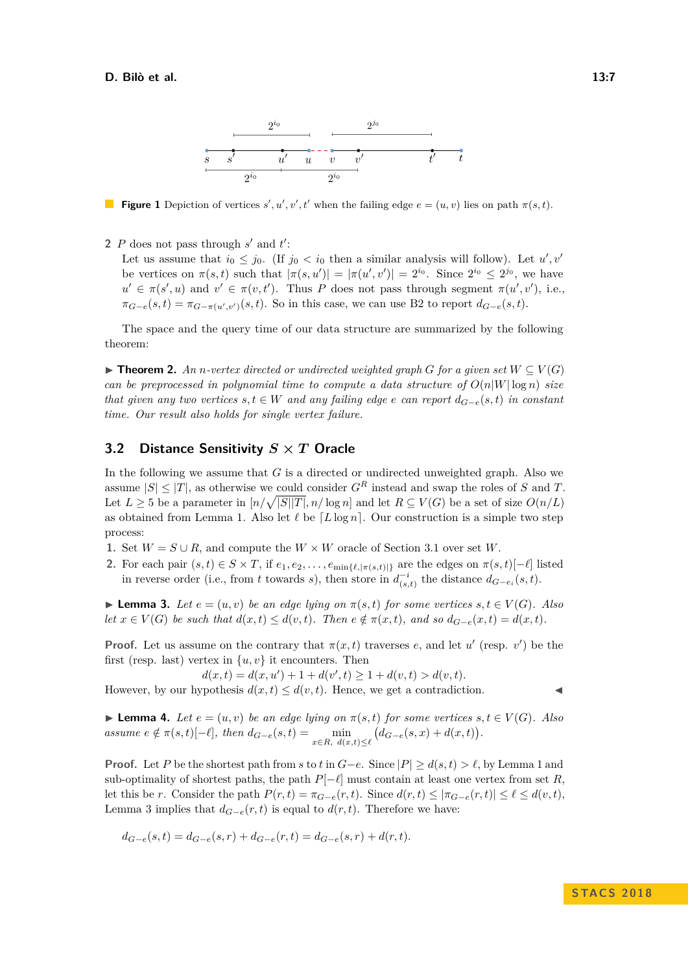<span id="page-6-0"></span>

**Figure 1** Depiction of vertices  $s', u', v', t'$  when the failing edge  $e = (u, v)$  lies on path  $\pi(s, t)$ .

2  $P$  does not pass through  $s'$  and  $t'$ :

Let us assume that  $i_0 \leq j_0$ . (If  $j_0 < i_0$  then a similar analysis will follow). Let  $u', v'$ be vertices on  $\pi(s,t)$  such that  $|\pi(s,u')| = |\pi(u',v')| = 2^{i_0}$ . Since  $2^{i_0} \leq 2^{j_0}$ , we have  $u' \in \pi(s', u)$  and  $v' \in \pi(v, t')$ . Thus *P* does not pass through segment  $\pi(u', v')$ , i.e.,  $\pi_{G-e}(s,t) = \pi_{G-\pi(u',v')}(s,t)$ . So in this case, we can use B2 to report  $d_{G-e}(s,t)$ .

The space and the query time of our data structure are summarized by the following theorem:

<span id="page-6-3"></span>**► Theorem 2.** An *n*-vertex directed or undirected weighted graph  $G$  for a given set  $W \subseteq V(G)$ *can be preprocessed in polynomial time to compute a data structure of*  $O(n|W|\log n)$  *size that given any two vertices*  $s, t \in W$  *and any failing edge e can report*  $d_{G-e}(s,t)$  *in constant time. Our result also holds for single vertex failure.*

# **3.2 Distance Sensitivity** *S* **×** *T* **Oracle**

In the following we assume that *G* is a directed or undirected unweighted graph. Also we assume  $|S| \leq |T|$ , as otherwise we could consider  $G<sup>R</sup>$  instead and swap the roles of *S* and *T*. Let  $L \geq 5$  be a parameter in  $\lceil n/\sqrt{|S||T|}, n/\log n \rceil$  and let  $R \subseteq V(G)$  be a set of size  $O(n/L)$ as obtained from Lemma [1.](#page-4-0) Also let  $\ell$  be  $[L \log n]$ . Our construction is a simple two step process:

- 1. Set  $W = S \cup R$ , and compute the  $W \times W$  oracle of Section [3.1](#page-5-0) over set *W*.
- **2.** For each pair  $(s, t) \in S \times T$ , if  $e_1, e_2, \ldots, e_{\min\{\ell, |\pi(s, t)|\}}$  are the edges on  $\pi(s, t)$ [− $\ell$ ] listed in reverse order (i.e., from *t* towards *s*), then store in  $d_{(s,t)}^{-i}$  the distance  $d_{G-e_i}(s,t)$ .

<span id="page-6-1"></span> $\blacktriangleright$  **Lemma 3.** Let  $e = (u, v)$  be an edge lying on  $π(s, t)$  for some vertices  $s, t \in V(G)$ . Also let  $x \in V(G)$  be such that  $d(x,t) \leq d(v,t)$ . Then  $e \notin \pi(x,t)$ , and so  $d_{G-e}(x,t) = d(x,t)$ .

**Proof.** Let us assume on the contrary that  $\pi(x, t)$  traverses *e*, and let *u'* (resp. *v'*) be the first (resp. last) vertex in  $\{u, v\}$  it encounters. Then

 $d(x,t) = d(x,u') + 1 + d(v',t) \geq 1 + d(v,t) > d(v,t).$ 

However, by our hypothesis  $d(x, t) \leq d(v, t)$ . Hence, we get a contradiction.

<span id="page-6-2"></span>**Lemma 4.** *Let*  $e = (u, v)$  *be an edge lying on*  $\pi(s, t)$  *for some vertices*  $s, t \in V(G)$ *. Also* assume  $e \notin \pi(s,t)[-\ell]$ , then  $d_{G-e}(s,t) = \min_{x \in R, d(x,t) \leq \ell} (d_{G-e}(s,x) + d(x,t)).$ 

**Proof.** Let *P* be the shortest path from *s* to *t* in  $G-e$ . Since  $|P| \ge d(s,t) > \ell$ , by Lemma [1](#page-4-0) and sub-optimality of shortest paths, the path  $P[-\ell]$  must contain at least one vertex from set *R*. let this be *r*. Consider the path  $P(r, t) = \pi_{G-e}(r, t)$ . Since  $d(r, t) \leq |\pi_{G-e}(r, t)| \leq \ell \leq d(v, t)$ , Lemma [3](#page-6-1) implies that  $d_{G-e}(r,t)$  is equal to  $d(r,t)$ . Therefore we have:

$$
d_{G-e}(s,t) = d_{G-e}(s,r) + d_{G-e}(r,t) = d_{G-e}(s,r) + d(r,t).
$$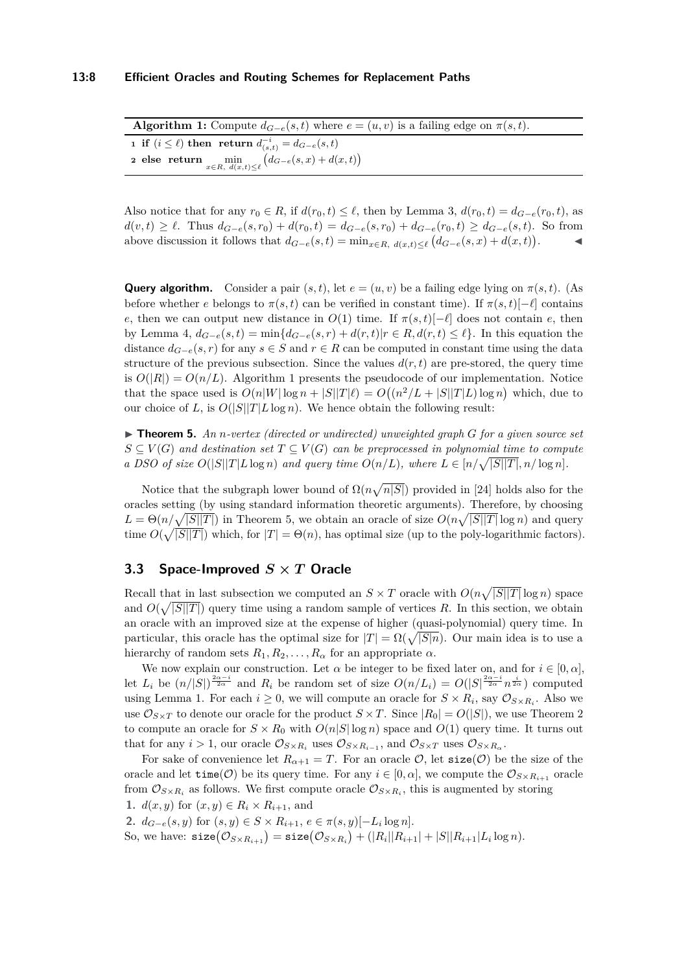| <b>Algorithm 1:</b> Compute $d_{G-e}(s,t)$ where $e=(u,v)$ is a failing edge on $\pi(s,t)$ . |
|----------------------------------------------------------------------------------------------|
| 1 if $(i \leq \ell)$ then return $d_{(s,t)}^{-i} = d_{G-e}(s,t)$                             |
| 2 else return $\min_{x \in R, d(x,t) \leq \ell} (d_{G-e}(s,x) + d(x,t))$                     |

<span id="page-7-0"></span>Also notice that for any  $r_0 \in R$ , if  $d(r_0, t) \leq \ell$ , then by Lemma [3,](#page-6-1)  $d(r_0, t) = d_{G-\ell}(r_0, t)$ , as  $d(v,t) \geq \ell$ . Thus  $d_{G-e}(s,r_0) + d(r_0,t) = d_{G-e}(s,r_0) + d_{G-e}(r_0,t) \geq d_{G-e}(s,t)$ . So from above discussion it follows that  $d_{G-e}(s,t) = \min_{x \in R, d(x,t) \leq \ell} (d_{G-e}(s,x) + d(x,t))$  $\mathbf{I}$ 

**Query algorithm.** Consider a pair  $(s, t)$ , let  $e = (u, v)$  be a failing edge lying on  $\pi(s, t)$ . (As before whether *e* belongs to  $\pi(s,t)$  can be verified in constant time). If  $\pi(s,t)[-\ell]$  contains *e*, then we can output new distance in  $O(1)$  time. If  $\pi(s,t)$ [− $\ell$ ] does not contain *e*, then by Lemma [4,](#page-6-2)  $d_{G-e}(s,t) = \min\{d_{G-e}(s,r) + d(r,t)|r \in R, d(r,t) \leq \ell\}$ . In this equation the distance  $d_{G-e}(s, r)$  for any  $s \in S$  and  $r \in R$  can be computed in constant time using the data structure of the previous subsection. Since the values  $d(r, t)$  are pre-stored, the query time is  $O(|R|) = O(n/L)$ . Algorithm [1](#page-7-0) presents the pseudocode of our implementation. Notice that the space used is  $O(n|W|\log n + |S||T|\ell) = O((n^2/L + |S||T|L)\log n)$  which, due to our choice of *L*, is  $O(|S||T|L \log n)$ . We hence obtain the following result:

<span id="page-7-1"></span> $\triangleright$  **Theorem 5.** An *n*-vertex (directed or undirected) unweighted graph G for a given source set  $S \subseteq V(G)$  and destination set  $T \subseteq V(G)$  can be preprocessed in polynomial time to compute *a DSO of size*  $O(|S||T|L \log n)$  *and query time*  $O(n/L)$ *, where*  $L \in [n/\sqrt{|S||T|}, n/\log n]$ *.* 

Notice that the subgraph lower bound of  $\Omega(n\sqrt{n|S|})$  provided in [\[24\]](#page-13-0) holds also for the oracles setting (by using standard information theoretic arguments). Therefore, by choosing  $L = \Theta(n/\sqrt{|S||T|})$  in Theorem [5,](#page-7-1) we obtain an oracle of size  $O(n\sqrt{|S||T|}\log n)$  and query time  $O(\sqrt{|S||T|})$  which, for  $|T| = \Theta(n)$ , has optimal size (up to the poly-logarithmic factors).

## **3.3 Space-Improved** *S* **×** *T* **Oracle**

Recall that in last subsection we computed an  $S \times T$  oracle with  $O(n\sqrt{|S||T|}\log n)$  space and  $O(\sqrt{|S||T|})$  query time using a random sample of vertices R. In this section, we obtain an oracle with an improved size at the expense of higher (quasi-polynomial) query time. In particular, this oracle has the optimal size for  $|T| = \Omega(\sqrt{|S|n})$ . Our main idea is to use a hierarchy of random sets  $R_1, R_2, \ldots, R_\alpha$  for an appropriate  $\alpha$ .

We now explain our construction. Let  $\alpha$  be integer to be fixed later on, and for  $i \in [0, \alpha]$ , let  $L_i$  be  $(n/|S|)^{\frac{2\alpha-i}{2\alpha}}$  and  $R_i$  be random set of size  $O(n/L_i) = O(|S|^{\frac{2\alpha-i}{2\alpha}} n^{\frac{i}{2\alpha}})$  computed using Lemma [1.](#page-4-0) For each  $i \geq 0$ , we will compute an oracle for  $S \times R_i$ , say  $\mathcal{O}_{S \times R_i}$ . Also we use  $\mathcal{O}_{S \times T}$  to denote our oracle for the product  $S \times T$ . Since  $|R_0| = O(|S|)$ , we use Theorem [2](#page-6-3) to compute an oracle for  $S \times R_0$  with  $O(n|S|\log n)$  space and  $O(1)$  query time. It turns out that for any  $i > 1$ , our oracle  $\mathcal{O}_{S \times R_i}$  uses  $\mathcal{O}_{S \times R_{i-1}}$ , and  $\mathcal{O}_{S \times T}$  uses  $\mathcal{O}_{S \times R_\alpha}$ .

For sake of convenience let  $R_{\alpha+1} = T$ . For an oracle  $\mathcal{O}$ , let  $\text{size}(\mathcal{O})$  be the size of the oracle and let  $\text{time}(\mathcal{O})$  be its query time. For any  $i \in [0, \alpha]$ , we compute the  $\mathcal{O}_{S \times R_{i+1}}$  oracle from  $\mathcal{O}_{S \times R_i}$  as follows. We first compute oracle  $\mathcal{O}_{S \times R_i}$ , this is augmented by storing **1.**  $d(x, y)$  for  $(x, y) \in R_i \times R_{i+1}$ , and

**2.**  $d_{G-e}(s, y)$  for  $(s, y) \in S \times R_{i+1}, e \in \pi(s, y)[-L_i \log n]$ .

 $\text{So, we have: } \texttt{size}(\mathcal{O}_{S \times R_{i+1}}) = \texttt{size}(\mathcal{O}_{S \times R_{i}}) + (|R_{i}||R_{i+1}| + |S||R_{i+1}|L_{i}\log n).$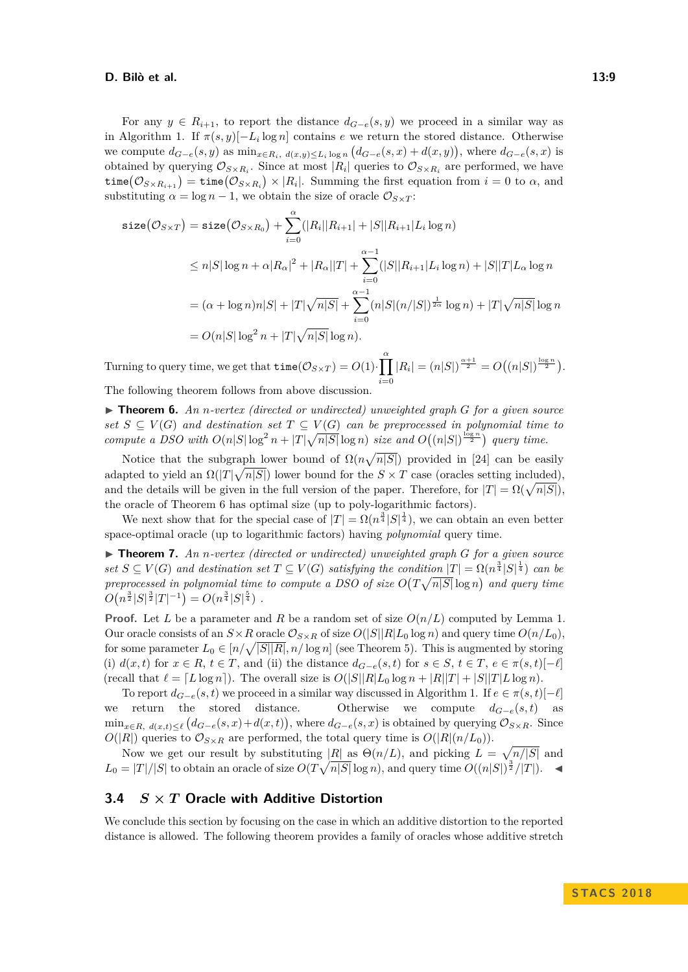#### **D. Bilò et al. 13:9**

For any  $y \in R_{i+1}$ , to report the distance  $d_{G-e}(s, y)$  we proceed in a similar way as in Algorithm [1.](#page-7-0) If  $\pi(s, y)[-L_i \log n]$  contains *e* we return the stored distance. Otherwise we compute  $d_{G-e}(s, y)$  as  $\min_{x \in R_i, d(x,y) \le L_i \log n} (d_{G-e}(s, x) + d(x, y)),$  where  $d_{G-e}(s, x)$  is obtained by querying  $\mathcal{O}_{S \times R_i}$ . Since at most  $|R_i|$  queries to  $\mathcal{O}_{S \times R_i}$  are performed, we have  $\texttt{time}(\mathcal{O}_{S\times R_{i+1}})=\texttt{time}(\mathcal{O}_{S\times R_{i}})\times |R_{i}|.$  Summing the first equation from  $i=0$  to  $\alpha,$  and substituting  $\alpha = \log n - 1$ , we obtain the size of oracle  $\mathcal{O}_{S \times T}$ :

$$
\begin{split}\n\text{size}(\mathcal{O}_{S \times T}) &= \text{size}(\mathcal{O}_{S \times R_0}) + \sum_{i=0}^{\alpha} (|R_i||R_{i+1}| + |S||R_{i+1}|L_i\log n) \\
&\leq n|S|\log n + \alpha |R_{\alpha}|^2 + |R_{\alpha}||T| + \sum_{i=0}^{\alpha-1} (|S||R_{i+1}|L_i\log n) + |S||T|L_{\alpha}\log n \\
&= (\alpha + \log n)n|S| + |T|\sqrt{n|S|} + \sum_{i=0}^{\alpha-1} (n|S|(n/|S|)^{\frac{1}{2\alpha}}\log n) + |T|\sqrt{n|S|}\log n \\
&= O(n|S|\log^2 n + |T|\sqrt{n|S|}\log n).\n\end{split}
$$

Turning to query time, we get that  $\tt time(\mathcal{O}_{S \times T}) = O(1) \cdot \prod^{\alpha}$ *i*=0  $|R_i| = (n|S|)^{\frac{\alpha+1}{2}} = O((n|S|)^{\frac{\log n}{2}}).$ The following theorem follows from above discussion.

<span id="page-8-0"></span>▶ **Theorem 6.** An *n*-vertex (directed or undirected) unweighted graph *G* for a given source *set*  $S \subseteq V(G)$  *and destination set*  $T \subseteq V(G)$  *can be preprocessed in polynomial time to compute a DSO with*  $O(n|S|\log^2 n + |T|\sqrt{n|S|}\log n)$  *size and*  $O((n|S|)^{\frac{\log n}{2}})$  *query time.* 

Notice that the subgraph lower bound of  $\Omega(n\sqrt{n|S|})$  provided in [\[24\]](#page-13-0) can be easily adapted to yield an  $\Omega(|T|\sqrt{n|S|})$  lower bound for the  $S \times T$  case (oracles setting included), and the details will be given in the full version of the paper. Therefore, for  $|T| = \Omega(\sqrt{n|S|})$ , the oracle of Theorem [6](#page-8-0) has optimal size (up to poly-logarithmic factors).

We next show that for the special case of  $|T| = \Omega(n^{\frac{3}{4}}|S|^{\frac{1}{4}})$ , we can obtain an even better space-optimal oracle (up to logarithmic factors) having *polynomial* query time.

▶ **Theorem 7.** An *n*-vertex (directed or undirected) unweighted graph *G* for a given source  $set S \subseteq V(G)$  and destination set  $T \subseteq V(G)$  satisfying the condition  $|T| = \Omega(n^{\frac{3}{4}}|S|^{\frac{1}{4}})$  *can be preprocessed in polynomial time to compute a DSO of size*  $O(T\sqrt{n|S|}\log n)$  and query time  $O(n^{\frac{3}{2}}|S|^{\frac{3}{2}}|T|^{-1}) = O(n^{\frac{3}{4}}|S|^{\frac{5}{4}})$ .

**Proof.** Let *L* be a parameter and *R* be a random set of size  $O(n/L)$  computed by Lemma [1.](#page-4-0) Our oracle consists of an  $S \times R$  oracle  $\mathcal{O}_{S \times R}$  of size  $O(|S||R|L_0 \log n)$  and query time  $O(n/L_0)$ , for some parameter  $L_0 \in [n/\sqrt{|S||R|}, n/\log n]$  (see Theorem [5\)](#page-7-1). This is augmented by storing (i)  $d(x,t)$  for  $x \in R$ ,  $t \in T$ , and (ii) the distance  $d_{G-e}(s,t)$  for  $s \in S$ ,  $t \in T$ ,  $e \in \pi(s,t)$ [- $\ell$ ] (recall that  $\ell = [L \log n]$ ). The overall size is  $O(|S||R|L_0 \log n + |R||T| + |S||T|L \log n)$ .

To report  $d_{G-e}(s,t)$  we proceed in a similar way discussed in Algorithm [1.](#page-7-0) If  $e \in \pi(s,t)[-\ell]$ we return the stored distance. Otherwise we compute  $d_{G-e}(s,t)$  as  $\min_{x \in R, d(x,t) \leq \ell} (d_{G-e}(s,x)+d(x,t)),$  where  $d_{G-e}(s,x)$  is obtained by querying  $\mathcal{O}_{S \times R}$ . Since  $O(|R|)$  queries to  $\mathcal{O}_{S \times R}$  are performed, the total query time is  $O(|R|(n/L_0))$ .

Now we get our result by substituting |R| as  $\Theta(n/L)$ , and picking  $L = \sqrt{n/|S|}$  and  $L_0 = |T|/|S|$  to obtain an oracle of size  $O(T\sqrt{n|S|}\log n)$ , and query time  $O((n|S|)^{\frac{3}{2}}/|T|)$ .

## **3.4** *S* **×** *T* **Oracle with Additive Distortion**

We conclude this section by focusing on the case in which an additive distortion to the reported distance is allowed. The following theorem provides a family of oracles whose additive stretch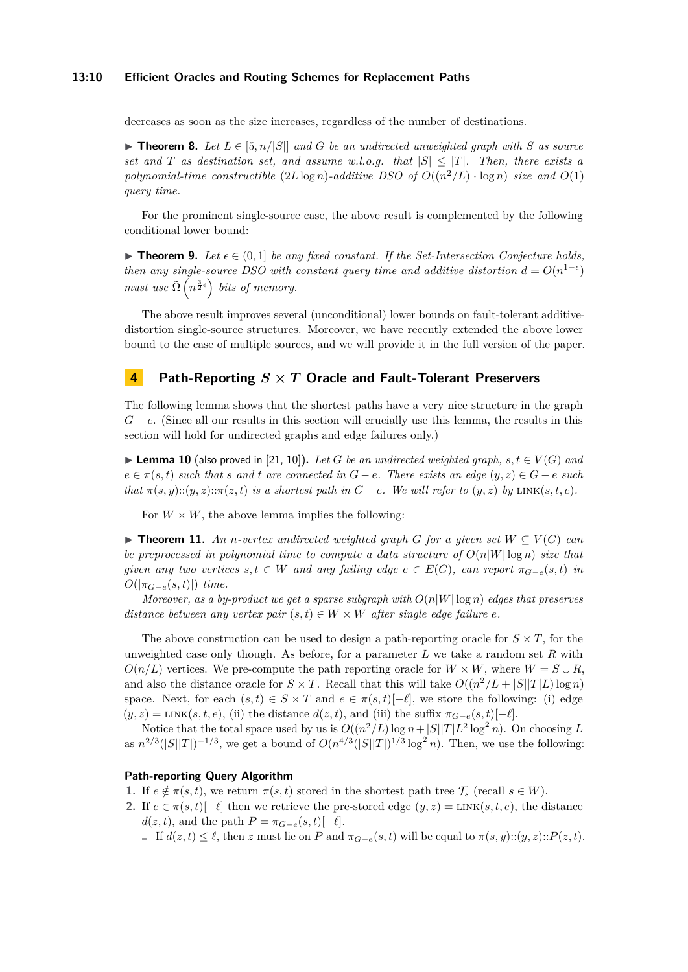#### **13:10 Efficient Oracles and Routing Schemes for Replacement Paths**

decreases as soon as the size increases, regardless of the number of destinations.

▶ **Theorem 8.** Let  $L \in [5, n/|S|]$  and  $G$  be an undirected unweighted graph with  $S$  as source *set and T as destination set, and assume w.l.o.g. that*  $|S| < |T|$ *. Then, there exists a polynomial-time constructible*  $(2L \log n)$ *-additive DSO of*  $O((n^2/L) \cdot \log n)$  *size and*  $O(1)$ *query time.*

For the prominent single-source case, the above result is complemented by the following conditional lower bound:

 $\triangleright$  **Theorem 9.** Let  $\epsilon \in (0,1]$  be any fixed constant. If the Set-Intersection Conjecture holds, *then any single-source DSO with constant query time and additive distortion*  $d = O(n^{1-\epsilon})$ *must use*  $\tilde{\Omega}\left(n^{\frac{3}{2}\epsilon}\right)$  *bits of memory.* 

The above result improves several (unconditional) lower bounds on fault-tolerant additivedistortion single-source structures. Moreover, we have recently extended the above lower bound to the case of multiple sources, and we will provide it in the full version of the paper.

# **4 Path-Reporting** *S* **×** *T* **Oracle and Fault-Tolerant Preservers**

The following lemma shows that the shortest paths have a very nice structure in the graph *G* − *e*. (Since all our results in this section will crucially use this lemma, the results in this section will hold for undirected graphs and edge failures only.)

<span id="page-9-1"></span>▶ **Lemma 10** (also proved in [\[21,](#page-13-7) [10\]](#page-12-9)). Let *G* be an undirected weighted graph,  $s, t \in V(G)$  and  $e \in \pi(s, t)$  *such that s* and *t* are connected in  $G - e$ . There exists an edge  $(y, z) \in G - e$  *such that*  $\pi(s, y)$ :: $(y, z)$ :: $\pi(z, t)$  *is a shortest path in*  $G - e$ *. We will refer to*  $(y, z)$  *by* LINK $(s, t, e)$ *.* 

For  $W \times W$ , the above lemma implies the following:

<span id="page-9-0"></span>▶ **Theorem 11.** An *n*-vertex undirected weighted graph *G* for a given set  $W ⊆ V(G)$  can *be preprocessed in polynomial time to compute a data structure of O*(*n*|*W*| log *n*) *size that given any two vertices*  $s, t \in W$  *and any failing edge*  $e \in E(G)$ *, can report*  $\pi_{G-e}(s,t)$  *in*  $O(|\pi_{G-e}(s,t)|)$  *time.* 

*Moreover, as a by-product we get a sparse subgraph with*  $O(n|W|\log n)$  *edges that preserves distance between any vertex pair*  $(s, t) \in W \times W$  *after single edge failure e.* 

The above construction can be used to design a path-reporting oracle for  $S \times T$ , for the unweighted case only though. As before, for a parameter *L* we take a random set *R* with  $O(n/L)$  vertices. We pre-compute the path reporting oracle for  $W \times W$ , where  $W = S \cup R$ , and also the distance oracle for  $S \times T$ . Recall that this will take  $O((n^2/L + |S||T|L)\log n)$ space. Next, for each  $(s, t) \in S \times T$  and  $e \in \pi(s, t)$ [- $\ell$ ], we store the following: (i) edge  $(y, z) = \text{LINK}(s, t, e)$ , (ii) the distance  $d(z, t)$ , and (iii) the suffix  $\pi_{G-e}(s, t)$ [- $\ell$ ].

Notice that the total space used by us is  $O((n^2/L)\log n + |S||T|L^2\log^2 n)$ . On choosing *L* as  $n^{2/3}(|S||T|)^{-1/3}$ , we get a bound of  $O(n^{4/3}(|S||T|)^{1/3} \log^2 n)$ . Then, we use the following:

#### **Path-reporting Query Algorithm**

- **1.** If  $e \notin \pi(s,t)$ , we return  $\pi(s,t)$  stored in the shortest path tree  $\mathcal{T}_s$  (recall  $s \in W$ ).
- **2.** If  $e \in \pi(s,t)$ [− $\ell$ ] then we retrieve the pre-stored edge  $(y,z) = \text{LINK}(s,t,e)$ , the distance  $d(z, t)$ , and the path  $P = \pi_{G-e}(s, t)$ [− $\ell$ ].
	- $\blacksquare$  If  $d(z, t) ≤ ℓ$ , then *z* must lie on *P* and  $π<sub>G−ℓ</sub>(s, t)$  will be equal to  $π(s, y) :: (y, z) :: P(z, t)$ .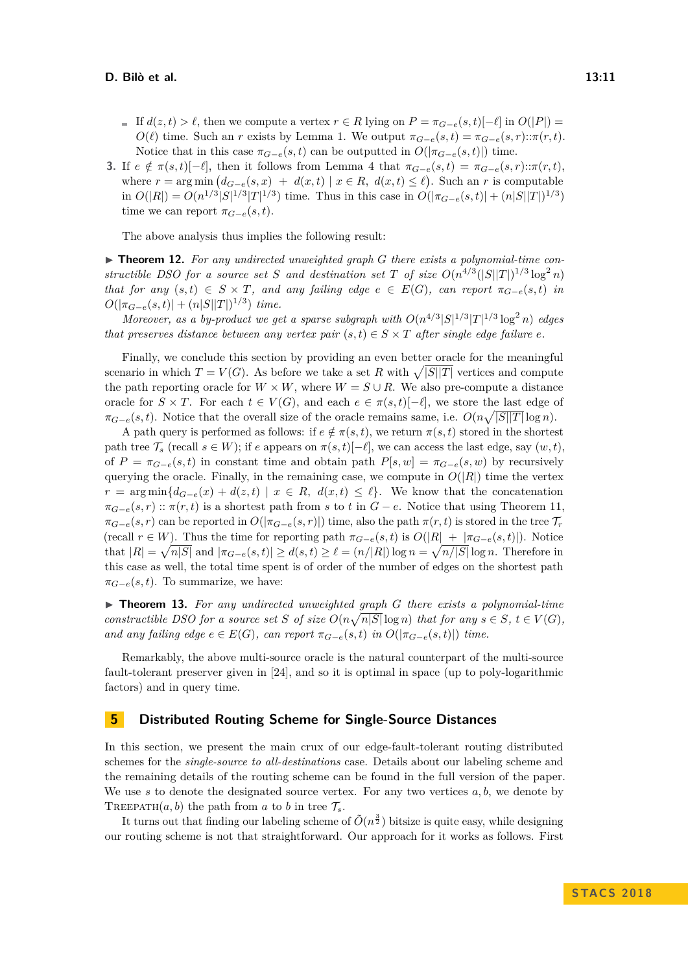#### **D. Bilò et al. 13:11**

- $\blacksquare$  If  $d(z, t) > \ell$ , then we compute a vertex  $r \in R$  lying on  $P = \pi_{G-e}(s, t) [-\ell]$  in  $O(|P|) =$ *O*( $\ell$ ) time. Such an *r* exists by Lemma [1.](#page-4-0) We output  $\pi_{G-e}(s,t) = \pi_{G-e}(s,r) \pi(r,t)$ . Notice that in this case  $\pi_{G-e}(s,t)$  can be outputted in  $O(|\pi_{G-e}(s,t)|)$  time.
- **3.** If  $e \notin \pi(s,t)[-\ell]$ , then it follows from Lemma [4](#page-6-2) that  $\pi_{G-e}(s,t) = \pi_{G-e}(s,r) \pi(r,t)$ , where  $r = \arg \min (d_{G-e}(s,x) + d(x,t) | x \in R, d(x,t) \leq \ell$ . Such an *r* is computable  $\int \ln O(|R|) = O(n^{1/3}|S|^{1/3}|T|^{1/3})$  time. Thus in this case in  $O(|\pi_{G-e}(s,t)| + (n|S||T|)^{1/3})$ time we can report  $\pi_{G-e}(s,t)$ .

The above analysis thus implies the following result:

▶ **Theorem 12.** For any undirected unweighted graph *G* there exists a polynomial-time con*structible DSO for a source set S and destination set T of size*  $O(n^{4/3}(|S||T|)^{1/3} \log^2 n)$ *that for any*  $(s,t) \in S \times T$ *, and any failing edge*  $e \in E(G)$ *, can report*  $\pi_{G-e}(s,t)$  *in*  $O(|\pi_{G-e}(s,t)| + (n|S||T|)^{1/3})$  *time.* 

*Moreover, as a by-product we get a sparse subgraph with*  $O(n^{4/3}|S|^{1/3}|T|^{1/3}\log^2 n)$  *edges that preserves distance between any vertex pair*  $(s,t) \in S \times T$  *after single edge failure e.* 

Finally, we conclude this section by providing an even better oracle for the meaningful scenario in which  $T = V(G)$ . As before we take a set R with  $\sqrt{|S||T|}$  vertices and compute the path reporting oracle for  $W \times W$ , where  $W = S \cup R$ . We also pre-compute a distance oracle for  $S \times T$ . For each  $t \in V(G)$ , and each  $e \in \pi(s,t)[-\ell]$ , we store the last edge of  $\pi_{G-e}(s,t)$ . Notice that the overall size of the oracle remains same, i.e.  $O(n\sqrt{|S||T|}\log n)$ .

A path query is performed as follows: if  $e \notin \pi(s,t)$ , we return  $\pi(s,t)$  stored in the shortest path tree  $\mathcal{T}_s$  (recall  $s \in W$ ); if *e* appears on  $\pi(s,t)$ [− $\ell$ ], we can access the last edge, say  $(w, t)$ , of  $P = \pi_{G-e}(s,t)$  in constant time and obtain path  $P[s,w] = \pi_{G-e}(s,w)$  by recursively querying the oracle. Finally, in the remaining case, we compute in  $O(|R|)$  time the vertex  $r = \arg \min \{ d_{G-e}(x) + d(z,t) \mid x \in R, d(x,t) \leq \ell \}.$  We know that the concatenation  $\pi_{G-e}(s,r)$  ::  $\pi(r,t)$  is a shortest path from *s* to *t* in  $G-e$ . Notice that using Theorem [11,](#page-9-0)  $\pi_{G-e}(s,r)$  can be reported in  $O(|\pi_{G-e}(s,r)|)$  time, also the path  $\pi(r,t)$  is stored in the tree  $\mathcal{T}_r$  $(\text{recall } r \in W)$ . Thus the time for reporting path  $\pi_{G-e}(s,t)$  is  $O(|R| + |\pi_{G-e}(s,t)|)$ . Notice that  $|R| = \sqrt{n|S|}$  and  $|\pi_{G-e}(s,t)| \ge d(s,t) \ge \ell = (n/|R|) \log n = \sqrt{n/|S|} \log n$ . Therefore in this case as well, the total time spent is of order of the number of edges on the shortest path  $\pi_{G-e}(s,t)$ . To summarize, we have:

I **Theorem 13.** *For any undirected unweighted graph G there exists a polynomial-time constructible DSO for a source set S* of size  $O(n\sqrt{n|S|}\log n)$  *that for any*  $s \in S$ ,  $t \in V(G)$ *, and any failing edge*  $e \in E(G)$ *, can report*  $\pi_{G-e}(s,t)$  *in*  $O(|\pi_{G-e}(s,t)|)$  *time.* 

Remarkably, the above multi-source oracle is the natural counterpart of the multi-source fault-tolerant preserver given in [\[24\]](#page-13-0), and so it is optimal in space (up to poly-logarithmic factors) and in query time.

# **5 Distributed Routing Scheme for Single-Source Distances**

In this section, we present the main crux of our edge-fault-tolerant routing distributed schemes for the *single-source to all-destinations* case. Details about our labeling scheme and the remaining details of the routing scheme can be found in the full version of the paper. We use  $s$  to denote the designated source vertex. For any two vertices  $a, b$ , we denote by TREEPATH $(a, b)$  the path from *a* to *b* in tree  $\mathcal{T}_s$ .

It turns out that finding our labeling scheme of  $\tilde{O}(n^{\frac{3}{2}})$  bitsize is quite easy, while designing our routing scheme is not that straightforward. Our approach for it works as follows. First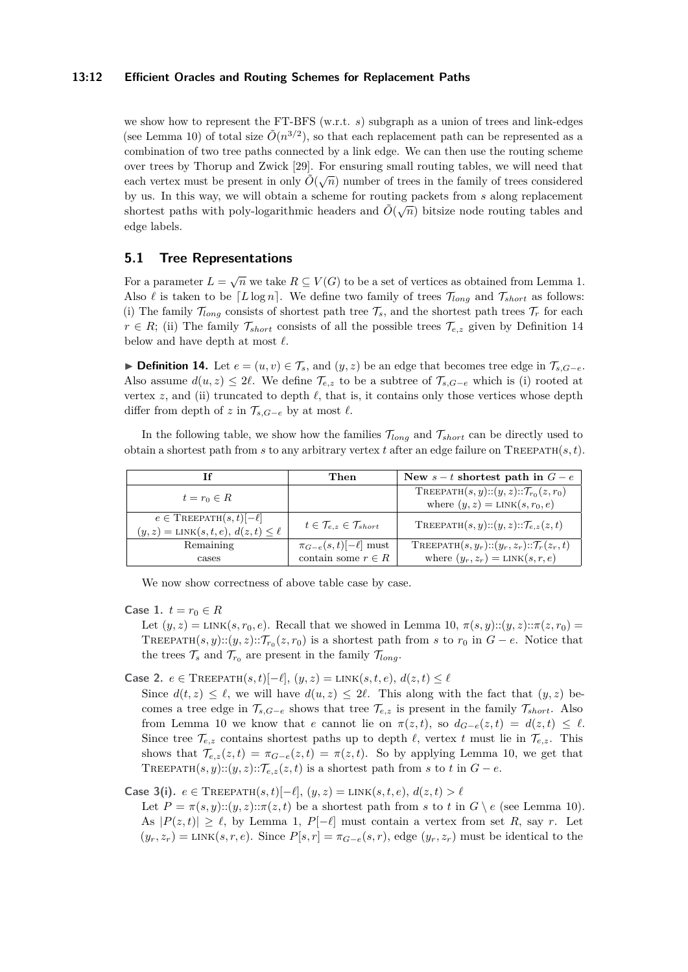#### **13:12 Efficient Oracles and Routing Schemes for Replacement Paths**

we show how to represent the FT-BFS  $(w.r.t. s)$  subgraph as a union of trees and link-edges (see Lemma [10\)](#page-9-1) of total size  $\tilde{O}(n^{3/2})$ , so that each replacement path can be represented as a combination of two tree paths connected by a link edge. We can then use the routing scheme over trees by Thorup and Zwick [\[29\]](#page-14-1). For ensuring small routing tables, we will need that each vertex must be present in only  $\tilde{O}(\sqrt{n})$  number of trees in the family of trees considered by us. In this way, we will obtain a scheme for routing packets from *s* along replacement shortest paths with poly-logarithmic headers and  $\tilde{O}(\sqrt{n})$  bitsize node routing tables and shortest paths with poly-logarithmic headers and  $\tilde{O}(\sqrt{n})$ edge labels.

## **5.1 Tree Representations**

For a parameter  $L = \sqrt{n}$  we take  $R \subseteq V(G)$  to be a set of vertices as obtained from Lemma [1.](#page-4-0) Also  $\ell$  is taken to be  $[L \log n]$ . We define two family of trees  $\mathcal{T}_{long}$  and  $\mathcal{T}_{short}$  as follows: (i) The family  $\mathcal{T}_{long}$  consists of shortest path tree  $\mathcal{T}_s$ , and the shortest path trees  $\mathcal{T}_r$  for each  $r \in R$ ; (ii) The family  $\mathcal{T}_{short}$  consists of all the possible trees  $\mathcal{T}_{e,z}$  given by Definition [14](#page-11-0) below and have depth at most  $\ell$ .

<span id="page-11-0"></span>**► Definition 14.** Let  $e = (u, v) \in \mathcal{T}_s$ , and  $(y, z)$  be an edge that becomes tree edge in  $\mathcal{T}_{s, G-e}$ . Also assume  $d(u, z) \leq 2\ell$ . We define  $\mathcal{T}_{e,z}$  to be a subtree of  $\mathcal{T}_{s,G-e}$  which is (i) rooted at vertex  $z$ , and (ii) truncated to depth  $\ell$ , that is, it contains only those vertices whose depth differ from depth of *z* in  $\mathcal{T}_{s,G-e}$  by at most  $\ell$ .

In the following table, we show how the families T*long* and T*short* can be directly used to obtain a shortest path from *s* to any arbitrary vertex *t* after an edge failure on TREEPATH $(s, t)$ .

|                                                    | Then                                              | New $s-t$ shortest path in $G-e$                               |
|----------------------------------------------------|---------------------------------------------------|----------------------------------------------------------------|
| $t=r_0\in R$                                       |                                                   | TREEPATH $(s, y)$ :: $(y, z)$ :: $\mathcal{T}_{r_0}(z, r_0)$   |
|                                                    |                                                   | where $(y, z) = \text{LINK}(s, r_0, e)$                        |
| $e \in \text{TheePATH}(s, t)$ $\left[-\ell\right]$ | $t \in \mathcal{T}_{e,z} \in \mathcal{T}_{short}$ | TREEPATH $(s, y)$ :: $(y, z)$ :: $\mathcal{T}_{e,z}(z, t)$     |
| $(y, z) = \text{LINK}(s, t, e), d(z, t) \leq \ell$ |                                                   |                                                                |
| Remaining                                          | $\pi_{G-e}(s,t)[-\ell]$ must                      | TREEPATH $(s, y_r)$ :: $(y_r, z_r)$ :: $\mathcal{T}_r(z_r, t)$ |
| cases                                              | contain some $r \in R$                            | where $(y_r, z_r) = \text{LINK}(s, r, e)$                      |

We now show correctness of above table case by case.

**Case 1.**  $t = r_0 \in R$ 

Let  $(y, z) = \text{LINK}(s, r_0, e)$ . Recall that we showed in Lemma [10,](#page-9-1)  $\pi(s, y)$ :: $(y, z)$ : $\pi(z, r_0)$ TREEPATH $(s, y)$ :: $(y, z)$ :: $\mathcal{T}_{r_0}(z, r_0)$  is a shortest path from *s* to  $r_0$  in  $G - e$ . Notice that the trees  $\mathcal{T}_s$  and  $\mathcal{T}_{r_0}$  are present in the family  $\mathcal{T}_{long}$ .

**Case 2.** *e* ∈ TREEPATH $(s, t)$ [− $\ell$ ],  $(y, z)$  = LINK $(s, t, e)$ ,  $d(z, t)$  <  $\ell$ 

Since  $d(t, z) \leq \ell$ , we will have  $d(u, z) \leq 2\ell$ . This along with the fact that  $(y, z)$  becomes a tree edge in  $\mathcal{T}_{s,G-e}$  shows that tree  $\mathcal{T}_{e,z}$  is present in the family  $\mathcal{T}_{short}$ . Also from Lemma [10](#page-9-1) we know that *e* cannot lie on  $\pi(z,t)$ , so  $d_{G-e}(z,t) = d(z,t) \leq \ell$ . Since tree  $\mathcal{T}_{e,z}$  contains shortest paths up to depth  $\ell$ , vertex *t* must lie in  $\mathcal{T}_{e,z}$ . This shows that  $\mathcal{T}_{e,z}(z,t) = \pi_{G-e}(z,t) = \pi(z,t)$ . So by applying Lemma [10,](#page-9-1) we get that TREEPATH $(s, y)$ :: $(y, z)$ :: $\mathcal{T}_{e,z}(z, t)$  is a shortest path from *s* to *t* in  $G - e$ .

**Case 3(i).**  $e \in \text{TreePATH}(s, t)[-\ell], (y, z) = \text{LINK}(s, t, e), d(z, t) > \ell$ 

Let  $P = \pi(s, y)$ :: $(y, z)$ :: $\pi(z, t)$  be a shortest path from *s* to *t* in  $G \setminus e$  (see Lemma [10\)](#page-9-1). As  $|P(z,t)| \geq \ell$ , by Lemma [1,](#page-4-0)  $P[-\ell]$  must contain a vertex from set R, say r. Let  $(y_r, z_r) =$ LINK $(s, r, e)$ . Since  $P[s, r] = \pi_{G-e}(s, r)$ , edge  $(y_r, z_r)$  must be identical to the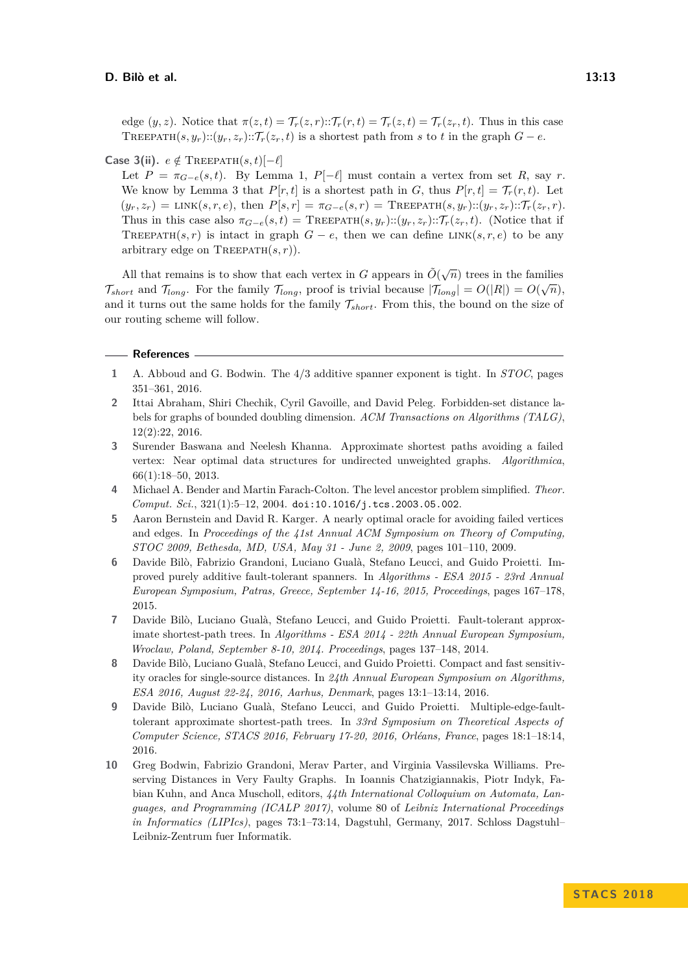edge  $(y, z)$ . Notice that  $\pi(z, t) = \mathcal{T}_r(z, r)$ :: $\mathcal{T}_r(r, t) = \mathcal{T}_r(z, t) = \mathcal{T}_r(z_r, t)$ . Thus in this case TREEPATH $(s, y_r)$ :: $(y_r, z_r)$ :: $\mathcal{T}_r(z_r, t)$  is a shortest path from *s* to *t* in the graph  $G - e$ .

#### **Case 3(ii).**  $e \notin \text{TheEPATH}(s, t)[-l]$

Let  $P = \pi_{G-e}(s,t)$ . By Lemma [1,](#page-4-0)  $P[-\ell]$  must contain a vertex from set R, say r. We know by Lemma [3](#page-6-1) that  $P[r, t]$  is a shortest path in *G*, thus  $P[r, t] = \mathcal{T}_r(r, t)$ . Let  $(y_r, z_r) = \text{LINK}(s, r, e), \text{ then } P[s, r] = \pi_{G-e}(s, r) = \text{TREEPATH}(s, y_r) :: (y_r, z_r) :: \mathcal{T}_r(z_r, r).$ Thus in this case also  $\pi_{G-e}(s,t) = \text{TheEPATH}(s, y_r) :: (y_r, z_r) :: \mathcal{T}_r(z_r, t)$ . (Notice that if TREEPATH(*s, r*) is intact in graph  $G - e$ , then we can define LINK(*s, r, e*) to be any arbitrary edge on  $\text{The EPATH}(s, r)$ .

All that remains is to show that each vertex in *G* appears in  $\tilde{O}(\sqrt{n})$  trees in the families  $\mathcal{T}_{short}$  and  $\mathcal{T}_{long}$ . For the family  $\mathcal{T}_{long}$ , proof is trivial because  $|\mathcal{T}_{long}| = O(|R|) = O(\sqrt{n}),$ and it turns out the same holds for the family  $\mathcal{T}_{short}$ . From this, the bound on the size of our routing scheme will follow.

#### **References**

- <span id="page-12-0"></span>**1** A. Abboud and G. Bodwin. The 4/3 additive spanner exponent is tight. In *STOC*, pages 351–361, 2016.
- <span id="page-12-7"></span>**2** Ittai Abraham, Shiri Chechik, Cyril Gavoille, and David Peleg. Forbidden-set distance labels for graphs of bounded doubling dimension. *ACM Transactions on Algorithms (TALG)*, 12(2):22, 2016.
- <span id="page-12-1"></span>**3** Surender Baswana and Neelesh Khanna. Approximate shortest paths avoiding a failed vertex: Near optimal data structures for undirected unweighted graphs. *Algorithmica*, 66(1):18–50, 2013.
- <span id="page-12-8"></span>**4** Michael A. Bender and Martin Farach-Colton. The level ancestor problem simplified. *Theor. Comput. Sci.*, 321(1):5–12, 2004. [doi:10.1016/j.tcs.2003.05.002](http://dx.doi.org/10.1016/j.tcs.2003.05.002).
- <span id="page-12-6"></span>**5** Aaron Bernstein and David R. Karger. A nearly optimal oracle for avoiding failed vertices and edges. In *Proceedings of the 41st Annual ACM Symposium on Theory of Computing, STOC 2009, Bethesda, MD, USA, May 31 - June 2, 2009*, pages 101–110, 2009.
- <span id="page-12-5"></span>**6** Davide Bilò, Fabrizio Grandoni, Luciano Gualà, Stefano Leucci, and Guido Proietti. Improved purely additive fault-tolerant spanners. In *Algorithms - ESA 2015 - 23rd Annual European Symposium, Patras, Greece, September 14-16, 2015, Proceedings*, pages 167–178, 2015.
- <span id="page-12-2"></span>**7** Davide Bilò, Luciano Gualà, Stefano Leucci, and Guido Proietti. Fault-tolerant approximate shortest-path trees. In *Algorithms - ESA 2014 - 22th Annual European Symposium, Wroclaw, Poland, September 8-10, 2014. Proceedings*, pages 137–148, 2014.
- <span id="page-12-3"></span>**8** Davide Bilò, Luciano Gualà, Stefano Leucci, and Guido Proietti. Compact and fast sensitivity oracles for single-source distances. In *24th Annual European Symposium on Algorithms, ESA 2016, August 22-24, 2016, Aarhus, Denmark*, pages 13:1–13:14, 2016.
- <span id="page-12-4"></span>**9** Davide Bilò, Luciano Gualà, Stefano Leucci, and Guido Proietti. Multiple-edge-faulttolerant approximate shortest-path trees. In *33rd Symposium on Theoretical Aspects of Computer Science, STACS 2016, February 17-20, 2016, Orléans, France*, pages 18:1–18:14, 2016.
- <span id="page-12-9"></span>**10** Greg Bodwin, Fabrizio Grandoni, Merav Parter, and Virginia Vassilevska Williams. Preserving Distances in Very Faulty Graphs. In Ioannis Chatzigiannakis, Piotr Indyk, Fabian Kuhn, and Anca Muscholl, editors, *44th International Colloquium on Automata, Languages, and Programming (ICALP 2017)*, volume 80 of *Leibniz International Proceedings in Informatics (LIPIcs)*, pages 73:1–73:14, Dagstuhl, Germany, 2017. Schloss Dagstuhl– Leibniz-Zentrum fuer Informatik.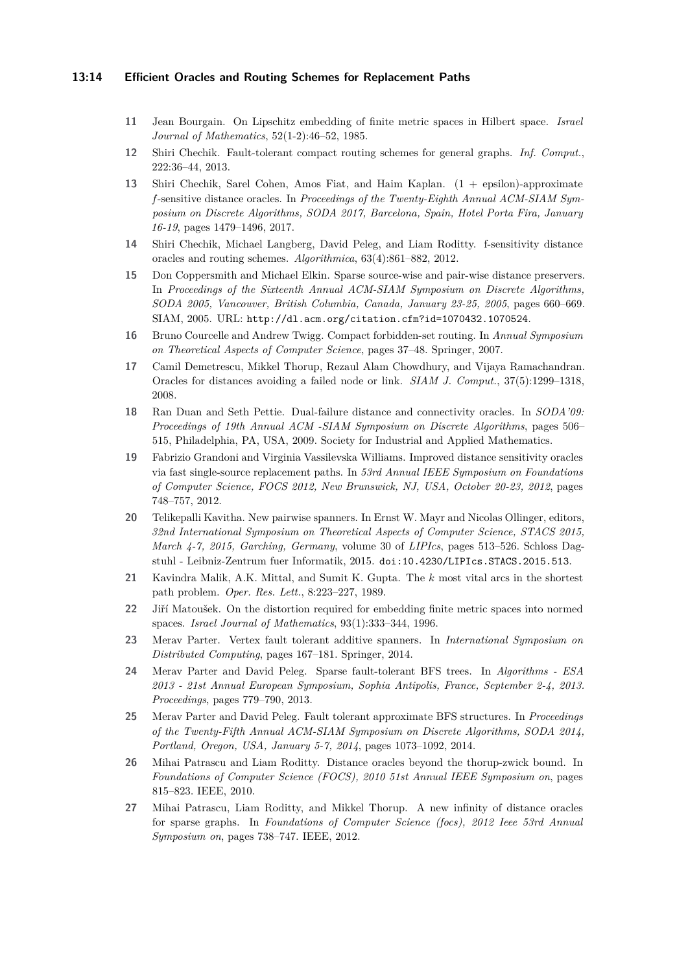#### **13:14 Efficient Oracles and Routing Schemes for Replacement Paths**

- <span id="page-13-1"></span>**11** Jean Bourgain. On Lipschitz embedding of finite metric spaces in Hilbert space. *Israel Journal of Mathematics*, 52(1-2):46–52, 1985.
- <span id="page-13-15"></span>**12** Shiri Chechik. Fault-tolerant compact routing schemes for general graphs. *Inf. Comput.*, 222:36–44, 2013.
- <span id="page-13-12"></span>**13** Shiri Chechik, Sarel Cohen, Amos Fiat, and Haim Kaplan. (1 + epsilon)-approximate *f* -sensitive distance oracles. In *Proceedings of the Twenty-Eighth Annual ACM-SIAM Symposium on Discrete Algorithms, SODA 2017, Barcelona, Spain, Hotel Porta Fira, January 16-19*, pages 1479–1496, 2017.
- <span id="page-13-14"></span>**14** Shiri Chechik, Michael Langberg, David Peleg, and Liam Roditty. f-sensitivity distance oracles and routing schemes. *Algorithmica*, 63(4):861–882, 2012.
- <span id="page-13-4"></span>**15** Don Coppersmith and Michael Elkin. Sparse source-wise and pair-wise distance preservers. In *Proceedings of the Sixteenth Annual ACM-SIAM Symposium on Discrete Algorithms, SODA 2005, Vancouver, British Columbia, Canada, January 23-25, 2005*, pages 660–669. SIAM, 2005. URL: <http://dl.acm.org/citation.cfm?id=1070432.1070524>.
- <span id="page-13-13"></span>**16** Bruno Courcelle and Andrew Twigg. Compact forbidden-set routing. In *Annual Symposium on Theoretical Aspects of Computer Science*, pages 37–48. Springer, 2007.
- <span id="page-13-9"></span>**17** Camil Demetrescu, Mikkel Thorup, Rezaul Alam Chowdhury, and Vijaya Ramachandran. Oracles for distances avoiding a failed node or link. *SIAM J. Comput.*, 37(5):1299–1318, 2008.
- <span id="page-13-11"></span>**18** Ran Duan and Seth Pettie. Dual-failure distance and connectivity oracles. In *SODA'09: Proceedings of 19th Annual ACM -SIAM Symposium on Discrete Algorithms*, pages 506– 515, Philadelphia, PA, USA, 2009. Society for Industrial and Applied Mathematics.
- <span id="page-13-10"></span>**19** Fabrizio Grandoni and Virginia Vassilevska Williams. Improved distance sensitivity oracles via fast single-source replacement paths. In *53rd Annual IEEE Symposium on Foundations of Computer Science, FOCS 2012, New Brunswick, NJ, USA, October 20-23, 2012*, pages 748–757, 2012.
- <span id="page-13-3"></span>**20** Telikepalli Kavitha. New pairwise spanners. In Ernst W. Mayr and Nicolas Ollinger, editors, *32nd International Symposium on Theoretical Aspects of Computer Science, STACS 2015, March 4-7, 2015, Garching, Germany*, volume 30 of *LIPIcs*, pages 513–526. Schloss Dagstuhl - Leibniz-Zentrum fuer Informatik, 2015. [doi:10.4230/LIPIcs.STACS.2015.513](http://dx.doi.org/10.4230/LIPIcs.STACS.2015.513).
- <span id="page-13-7"></span>**21** Kavindra Malik, A.K. Mittal, and Sumit K. Gupta. The *k* most vital arcs in the shortest path problem. *Oper. Res. Lett.*, 8:223–227, 1989.
- <span id="page-13-2"></span>**22** Jiří Matoušek. On the distortion required for embedding finite metric spaces into normed spaces. *Israel Journal of Mathematics*, 93(1):333–344, 1996.
- <span id="page-13-8"></span>**23** Merav Parter. Vertex fault tolerant additive spanners. In *International Symposium on Distributed Computing*, pages 167–181. Springer, 2014.
- <span id="page-13-0"></span>**24** Merav Parter and David Peleg. Sparse fault-tolerant BFS trees. In *Algorithms - ESA 2013 - 21st Annual European Symposium, Sophia Antipolis, France, September 2-4, 2013. Proceedings*, pages 779–790, 2013.
- <span id="page-13-6"></span>**25** Merav Parter and David Peleg. Fault tolerant approximate BFS structures. In *Proceedings of the Twenty-Fifth Annual ACM-SIAM Symposium on Discrete Algorithms, SODA 2014, Portland, Oregon, USA, January 5-7, 2014*, pages 1073–1092, 2014.
- <span id="page-13-5"></span>**26** Mihai Patrascu and Liam Roditty. Distance oracles beyond the thorup-zwick bound. In *Foundations of Computer Science (FOCS), 2010 51st Annual IEEE Symposium on*, pages 815–823. IEEE, 2010.
- <span id="page-13-16"></span>**27** Mihai Patrascu, Liam Roditty, and Mikkel Thorup. A new infinity of distance oracles for sparse graphs. In *Foundations of Computer Science (focs), 2012 Ieee 53rd Annual Symposium on*, pages 738–747. IEEE, 2012.